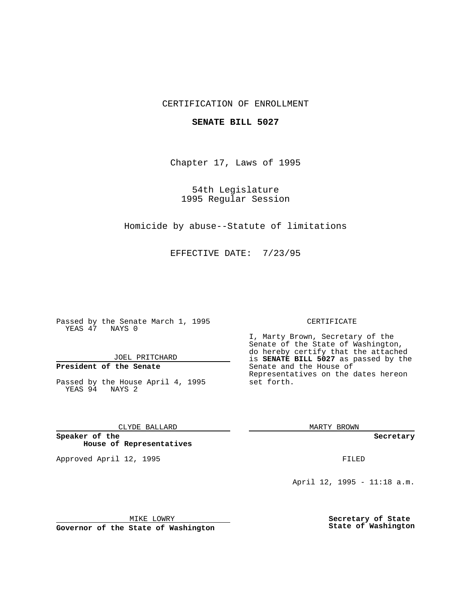### CERTIFICATION OF ENROLLMENT

#### **SENATE BILL 5027**

Chapter 17, Laws of 1995

54th Legislature 1995 Regular Session

Homicide by abuse--Statute of limitations

EFFECTIVE DATE: 7/23/95

Passed by the Senate March 1, 1995 YEAS 47 NAYS 0

JOEL PRITCHARD

## **President of the Senate**

Passed by the House April 4, 1995 YEAS 94 NAYS 2

CLYDE BALLARD

**Speaker of the House of Representatives**

Approved April 12, 1995 FILED

#### CERTIFICATE

I, Marty Brown, Secretary of the Senate of the State of Washington, do hereby certify that the attached is **SENATE BILL 5027** as passed by the Senate and the House of Representatives on the dates hereon set forth.

MARTY BROWN

**Secretary**

April 12, 1995 - 11:18 a.m.

MIKE LOWRY

**Governor of the State of Washington**

**Secretary of State State of Washington**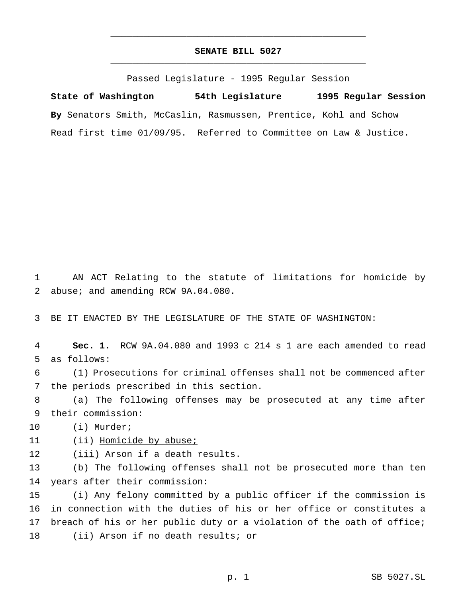# **SENATE BILL 5027** \_\_\_\_\_\_\_\_\_\_\_\_\_\_\_\_\_\_\_\_\_\_\_\_\_\_\_\_\_\_\_\_\_\_\_\_\_\_\_\_\_\_\_\_\_\_\_

\_\_\_\_\_\_\_\_\_\_\_\_\_\_\_\_\_\_\_\_\_\_\_\_\_\_\_\_\_\_\_\_\_\_\_\_\_\_\_\_\_\_\_\_\_\_\_

Passed Legislature - 1995 Regular Session

**State of Washington 54th Legislature 1995 Regular Session By** Senators Smith, McCaslin, Rasmussen, Prentice, Kohl and Schow Read first time 01/09/95. Referred to Committee on Law & Justice.

 AN ACT Relating to the statute of limitations for homicide by abuse; and amending RCW 9A.04.080.

BE IT ENACTED BY THE LEGISLATURE OF THE STATE OF WASHINGTON:

 **Sec. 1.** RCW 9A.04.080 and 1993 c 214 s 1 are each amended to read as follows:

 (1) Prosecutions for criminal offenses shall not be commenced after the periods prescribed in this section.

 (a) The following offenses may be prosecuted at any time after their commission:

(i) Murder;

11 (ii) Homicide by abuse;

(iii) Arson if a death results.

 (b) The following offenses shall not be prosecuted more than ten years after their commission:

 (i) Any felony committed by a public officer if the commission is in connection with the duties of his or her office or constitutes a breach of his or her public duty or a violation of the oath of office; (ii) Arson if no death results; or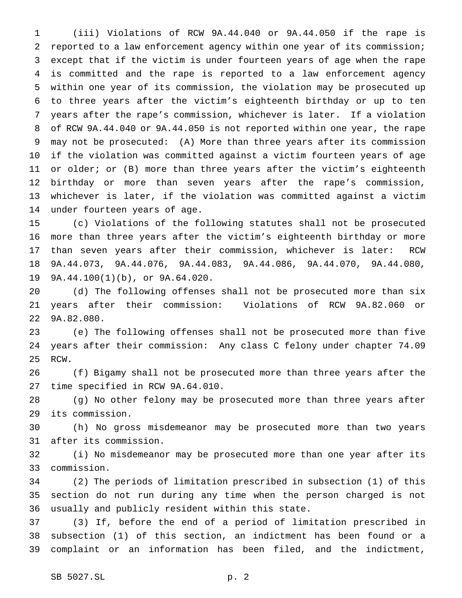(iii) Violations of RCW 9A.44.040 or 9A.44.050 if the rape is reported to a law enforcement agency within one year of its commission; except that if the victim is under fourteen years of age when the rape is committed and the rape is reported to a law enforcement agency within one year of its commission, the violation may be prosecuted up to three years after the victim's eighteenth birthday or up to ten years after the rape's commission, whichever is later. If a violation of RCW 9A.44.040 or 9A.44.050 is not reported within one year, the rape may not be prosecuted: (A) More than three years after its commission if the violation was committed against a victim fourteen years of age 11 or older; or (B) more than three years after the victim's eighteenth birthday or more than seven years after the rape's commission, whichever is later, if the violation was committed against a victim under fourteen years of age.

 (c) Violations of the following statutes shall not be prosecuted more than three years after the victim's eighteenth birthday or more than seven years after their commission, whichever is later: RCW 9A.44.073, 9A.44.076, 9A.44.083, 9A.44.086, 9A.44.070, 9A.44.080, 9A.44.100(1)(b), or 9A.64.020.

 (d) The following offenses shall not be prosecuted more than six years after their commission: Violations of RCW 9A.82.060 or 9A.82.080.

 (e) The following offenses shall not be prosecuted more than five years after their commission: Any class C felony under chapter 74.09 RCW.

 (f) Bigamy shall not be prosecuted more than three years after the time specified in RCW 9A.64.010.

 (g) No other felony may be prosecuted more than three years after its commission.

 (h) No gross misdemeanor may be prosecuted more than two years after its commission.

 (i) No misdemeanor may be prosecuted more than one year after its commission.

 (2) The periods of limitation prescribed in subsection (1) of this section do not run during any time when the person charged is not usually and publicly resident within this state.

 (3) If, before the end of a period of limitation prescribed in subsection (1) of this section, an indictment has been found or a complaint or an information has been filed, and the indictment,